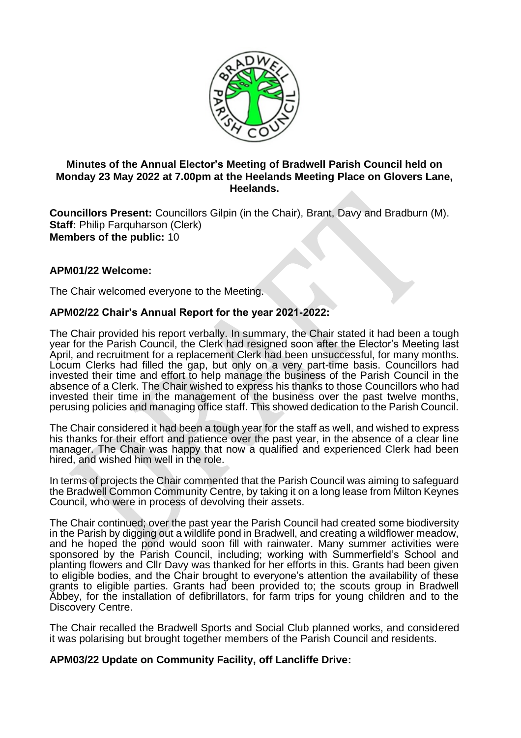

## **Minutes of the Annual Elector's Meeting of Bradwell Parish Council held on Monday 23 May 2022 at 7.00pm at the Heelands Meeting Place on Glovers Lane, Heelands.**

**Councillors Present:** Councillors Gilpin (in the Chair), Brant, Davy and Bradburn (M). **Staff:** Philip Farquharson (Clerk) **Members of the public:** 10

# **APM01/22 Welcome:**

The Chair welcomed everyone to the Meeting.

## **APM02/22 Chair's Annual Report for the year 2021-2022:**

The Chair provided his report verbally. In summary, the Chair stated it had been a tough year for the Parish Council, the Clerk had resigned soon after the Elector's Meeting last April, and recruitment for a replacement Clerk had been unsuccessful, for many months. Locum Clerks had filled the gap, but only on a very part-time basis. Councillors had invested their time and effort to help manage the business of the Parish Council in the absence of a Clerk. The Chair wished to express his thanks to those Councillors who had invested their time in the management of the business over the past twelve months, perusing policies and managing office staff. This showed dedication to the Parish Council.

The Chair considered it had been a tough year for the staff as well, and wished to express his thanks for their effort and patience over the past year, in the absence of a clear line manager. The Chair was happy that now a qualified and experienced Clerk had been hired, and wished him well in the role.

In terms of projects the Chair commented that the Parish Council was aiming to safeguard the Bradwell Common Community Centre, by taking it on a long lease from Milton Keynes Council, who were in process of devolving their assets.

The Chair continued; over the past year the Parish Council had created some biodiversity in the Parish by digging out a wildlife pond in Bradwell, and creating a wildflower meadow, and he hoped the pond would soon fill with rainwater. Many summer activities were sponsored by the Parish Council, including; working with Summerfield's School and planting flowers and Cllr Davy was thanked for her efforts in this. Grants had been given to eligible bodies, and the Chair brought to everyone's attention the availability of these grants to eligible parties. Grants had been provided to; the scouts group in Bradwell Abbey, for the installation of defibrillators, for farm trips for young children and to the Discovery Centre.

The Chair recalled the Bradwell Sports and Social Club planned works, and considered it was polarising but brought together members of the Parish Council and residents.

## **APM03/22 Update on Community Facility, off Lancliffe Drive:**